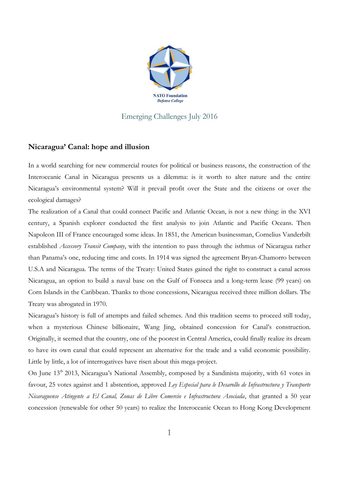

## Emerging Challenges July 2016

## **Nicaragua' Canal: hope and illusion**

In a world searching for new commercial routes for political or business reasons, the construction of the Interoceanic Canal in Nicaragua presents us a dilemma: is it worth to alter nature and the entire Nicaragua's environmental system? Will it prevail profit over the State and the citizens or over the ecological damages?

The realization of a Canal that could connect Pacific and Atlantic Ocean, is not a new thing: in the XVI century, a Spanish explorer conducted the first analysis to join Atlantic and Pacific Oceans. Then Napoleon III of France encouraged some ideas. In 1851, the American businessman, Cornelius Vanderbilt established *Accessory Transit Company*, with the intention to pass through the isthmus of Nicaragua rather than Panama's one, reducing time and costs. In 1914 was signed the agreement Bryan-Chamorro between U.S.A and Nicaragua. The terms of the Treaty: United States gained the right to construct a canal across Nicaragua, an option to build a naval base on the Gulf of Fonseca and a long-term lease (99 years) on Corn Islands in the Caribbean. Thanks to those concessions, Nicaragua received three million dollars. The Treaty was abrogated in 1970.

Nicaragua's history is full of attempts and failed schemes. And this tradition seems to proceed still today, when a mysterious Chinese billionaire, Wang Jing, obtained concession for Canal's construction. Originally, it seemed that the country, one of the poorest in Central America, could finally realize its dream to have its own canal that could represent an alternative for the trade and a valid economic possibility. Little by little, a lot of interrogatives have risen about this mega-project.

On June 13<sup>th</sup> 2013, Nicaragua's National Assembly, composed by a Sandinista majority, with 61 votes in favour, 25 votes against and 1 abstention, approved *Ley Especial para le Desarollo de Infrastructura y Transporte Nicaraguense Atingente a El Canal, Zonas de Libre Comercio e Infrastructura Asociada*, that granted a 50 year concession (renewable for other 50 years) to realize the Interoceanic Ocean to Hong Kong Development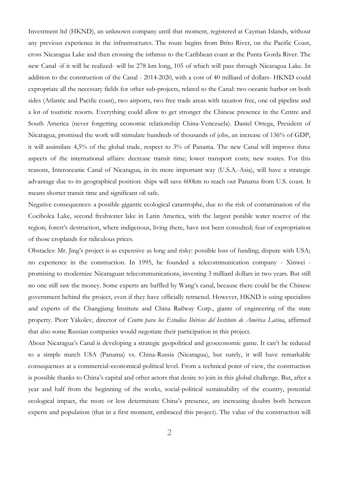Investment ltd (HKND), an unknown company until that moment, registered at Cayman Islands, without any previous experience in the infrastructures. The route begins from Brito River, on the Pacific Coast, cross Nicaragua Lake and then crossing the isthmus to the Caribbean coast at the Punta Gorda River. The new Canal -if it will be realized- will be 278 km long, 105 of which will pass through Nicaragua Lake. In addition to the construction of the Canal - 2014-2020, with a cost of 40 milliard of dollars- HKND could expropriate all the necessary fields for other sub-projects, related to the Canal: two oceanic harbor on both sides (Atlantic and Pacific coast), two airports, two free trade areas with taxation free, one oil pipeline and a lot of touristic resorts. Everything could allow to get stronger the Chinese presence in the Centre and South America (never forgetting economic relationship China-Venezuela). Daniel Ortega, President of Nicaragua, promised the work will stimulate hundreds of thousands of jobs, an increase of 136% of GDP, it will assimilate 4,5% of the global trade, respect to 3% of Panama. The new Canal will improve three aspects of the international affairs: decrease transit time; lower transport costs; new routes. For this reasons, Interoceanic Canal of Nicaragua, in its more important way (U.S.A.-Asia), will have a strategic advantage due to its geographical position: ships will save 600km to reach out Panama from U.S. coast. It means shorter transit time and significant oil safe.

Negative consequences: a possible gigantic ecological catastrophe, due to the risk of contamination of the Cocibolca Lake, second freshwater lake in Latin America, with the largest potable water reserve of the region; forest's destruction, where indigenous, living there, have not been consulted; fear of expropriation of those croplands for ridiculous prices.

Obstacles: Mr. Jing's project is as expensive as long and risky: possible loss of funding; dispute with USA; no experience in the construction. In 1995, he founded a telecommunication company - Xinwei promising to modernize Nicaraguan telecommunications, investing 3 milliard dollars in two years. But still no one still saw the money. Some experts are baffled by Wang's canal, because there could be the Chinese government behind the project, even if they have officially retracted. However, HKND is using specialists and experts of the Changjiang Institute and China Railway Corp., giants of engineering of the state property. Piotr Yákolev, director of *Centro para los Estudios Ibéricos del Instituto de América Latina*, affirmed that also some Russian companies would negotiate their participation in this project.

About Nicaragua's Canal is developing a strategic geopolitical and geoeconomic game. It can't be reduced to a simple match USA (Panama) vs. China-Russia (Nicaragua), but surely, it will have remarkable consequences at a commercial-economical-political level. From a technical point of view, the construction is possible thanks to China's capital and other actors that desire to join in this global challenge. But, after a year and half from the beginning of the works, social-political sustainability of the country, potential ecological impact, the more or less determinate China's presence, are increasing doubts both between experts and population (that in a first moment, embraced this project). The value of the construction will